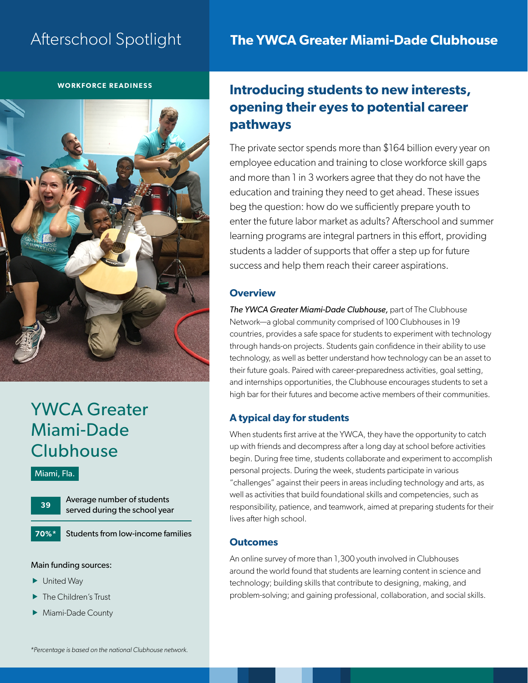# Afterschool Spotlight

# **The YWCA Greater Miami-Dade Clubhouse**

#### **WORKFORCE READINESS**



# YWCA Greater Miami-Dade **Clubhouse**

#### Miami, Fla.

**70%\***

Average number of students served during the school year

Students from low-income families

#### Main funding sources:

- $\blacktriangleright$  United Way
- The Children's Trust
- Miami-Dade County

# **Introducing students to new interests, opening their eyes to potential career pathways**

The private sector spends more than \$164 billion every year on employee education and training to close workforce skill gaps and more than 1 in 3 workers agree that they do not have the education and training they need to get ahead. These issues beg the question: how do we sufficiently prepare youth to enter the future labor market as adults? Afterschool and summer learning programs are integral partners in this effort, providing students a ladder of supports that offer a step up for future success and help them reach their career aspirations.

#### **Overview**

*The YWCA Greater Miami-Dade Clubhouse,* part of The Clubhouse Network—a global community comprised of 100 Clubhouses in 19 countries, provides a safe space for students to experiment with technology through hands-on projects. Students gain confidence in their ability to use technology, as well as better understand how technology can be an asset to their future goals. Paired with career-preparedness activities, goal setting, and internships opportunities, the Clubhouse encourages students to set a high bar for their futures and become active members of their communities.

## **A typical day for students**

When students first arrive at the YWCA, they have the opportunity to catch up with friends and decompress after a long day at school before activities begin. During free time, students collaborate and experiment to accomplish personal projects. During the week, students participate in various "challenges" against their peers in areas including technology and arts, as well as activities that build foundational skills and competencies, such as responsibility, patience, and teamwork, aimed at preparing students for their lives after high school.

#### **Outcomes**

An online survey of more than 1,300 youth involved in Clubhouses around the world found that students are learning content in science and technology; building skills that contribute to designing, making, and problem-solving; and gaining professional, collaboration, and social skills.